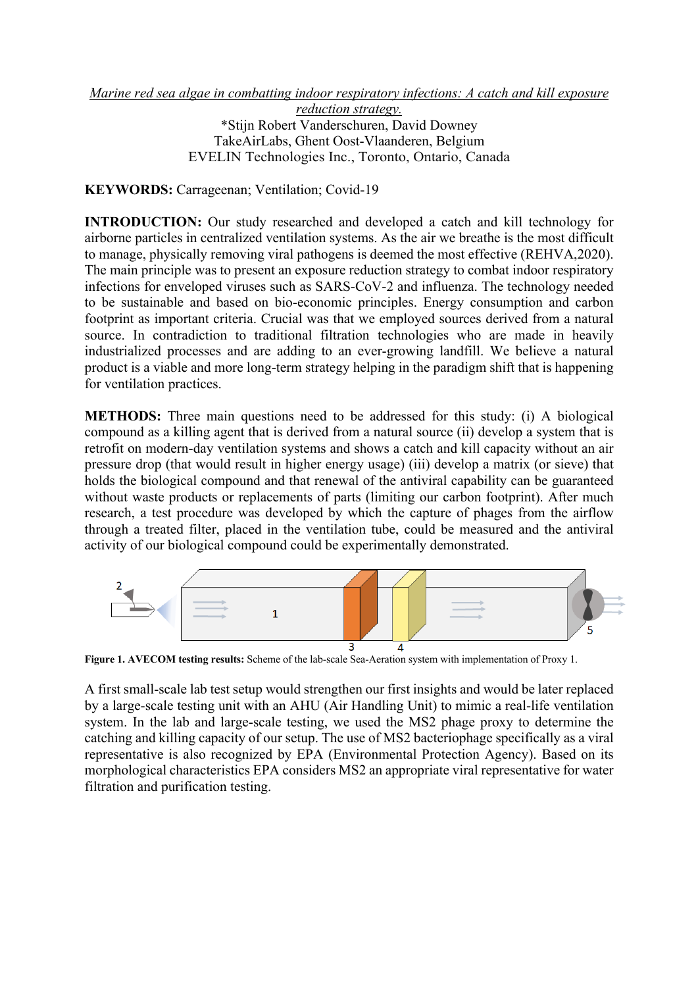## *Marine red sea algae in combatting indoor respiratory infections: A catch and kill exposure*

*reduction strategy.* \*Stijn Robert Vanderschuren, David Downey TakeAirLabs, Ghent Oost-Vlaanderen, Belgium EVELIN Technologies Inc., Toronto, Ontario, Canada

**KEYWORDS:** Carrageenan; Ventilation; Covid-19

**INTRODUCTION:** Our study researched and developed a catch and kill technology for airborne particles in centralized ventilation systems. As the air we breathe is the most difficult to manage, physically removing viral pathogens is deemed the most effective (REHVA,2020). The main principle was to present an exposure reduction strategy to combat indoor respiratory infections for enveloped viruses such as SARS-CoV-2 and influenza. The technology needed to be sustainable and based on bio-economic principles. Energy consumption and carbon footprint as important criteria. Crucial was that we employed sources derived from a natural source. In contradiction to traditional filtration technologies who are made in heavily industrialized processes and are adding to an ever-growing landfill. We believe a natural product is a viable and more long-term strategy helping in the paradigm shift that is happening for ventilation practices.

**METHODS:** Three main questions need to be addressed for this study: (i) A biological compound as a killing agent that is derived from a natural source (ii) develop a system that is retrofit on modern-day ventilation systems and shows a catch and kill capacity without an air pressure drop (that would result in higher energy usage) (iii) develop a matrix (or sieve) that holds the biological compound and that renewal of the antiviral capability can be guaranteed without waste products or replacements of parts (limiting our carbon footprint). After much research, a test procedure was developed by which the capture of phages from the airflow through a treated filter, placed in the ventilation tube, could be measured and the antiviral activity of our biological compound could be experimentally demonstrated.



**Figure 1. AVECOM testing results:** Scheme of the lab-scale Sea-Aeration system with implementation of Proxy 1.

A first small-scale lab test setup would strengthen our first insights and would be later replaced by a large-scale testing unit with an AHU (Air Handling Unit) to mimic a real-life ventilation system. In the lab and large-scale testing, we used the MS2 phage proxy to determine the catching and killing capacity of our setup. The use of MS2 bacteriophage specifically as a viral representative is also recognized by EPA (Environmental Protection Agency). Based on its morphological characteristics EPA considers MS2 an appropriate viral representative for water filtration and purification testing.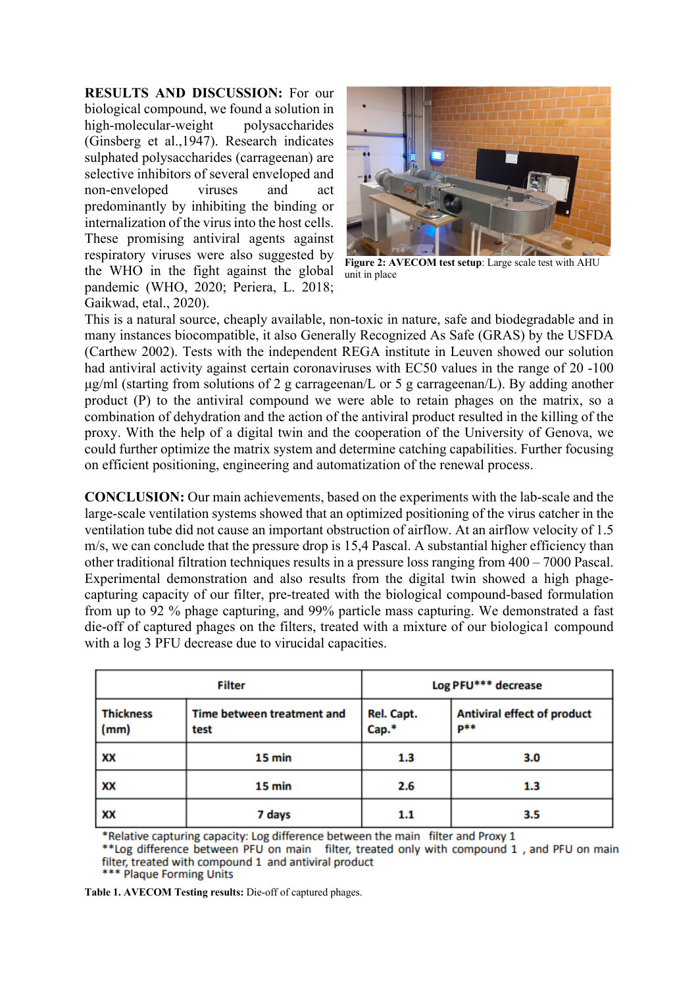**RESULTS AND DISCUSSION:** For our biological compound, we found a solution in high-molecular-weight polysaccharides (Ginsberg et al.,1947). Research indicates sulphated polysaccharides (carrageenan) are selective inhibitors of several enveloped and non-enveloped viruses and act predominantly by inhibiting the binding or internalization of the virus into the host cells. These promising antiviral agents against respiratory viruses were also suggested by the WHO in the fight against the global pandemic (WHO, 2020; Periera, L. 2018; Gaikwad, etal., 2020).



**Figure 2: AVECOM test setup**: Large scale test with AHU unit in place

This is a natural source, cheaply available, non-toxic in nature, safe and biodegradable and in many instances biocompatible, it also Generally Recognized As Safe (GRAS) by the USFDA (Carthew 2002). Tests with the independent REGA institute in Leuven showed our solution had antiviral activity against certain coronaviruses with EC50 values in the range of 20 -100 μg/ml (starting from solutions of 2 g carrageenan/L or 5 g carrageenan/L). By adding another product (P) to the antiviral compound we were able to retain phages on the matrix, so a combination of dehydration and the action of the antiviral product resulted in the killing of the proxy. With the help of a digital twin and the cooperation of the University of Genova, we could further optimize the matrix system and determine catching capabilities. Further focusing on efficient positioning, engineering and automatization of the renewal process.

**CONCLUSION:** Our main achievements, based on the experiments with the lab-scale and the large-scale ventilation systems showed that an optimized positioning of the virus catcher in the ventilation tube did not cause an important obstruction of airflow. At an airflow velocity of 1.5 m/s, we can conclude that the pressure drop is 15,4 Pascal. A substantial higher efficiency than other traditional filtration techniques results in a pressure loss ranging from 400 – 7000 Pascal. Experimental demonstration and also results from the digital twin showed a high phagecapturing capacity of our filter, pre-treated with the biological compound-based formulation from up to 92 % phage capturing, and 99% particle mass capturing. We demonstrated a fast die-off of captured phages on the filters, treated with a mixture of our biologica1 compound with a log 3 PFU decrease due to virucidal capacities.

| Filter                   |                                    | Log PFU*** decrease |                                           |
|--------------------------|------------------------------------|---------------------|-------------------------------------------|
| <b>Thickness</b><br>(mm) | Time between treatment and<br>test | Rel. Capt.<br>Cap.* | <b>Antiviral effect of product</b><br>p** |
| XX                       | 15 min                             | 1.3                 | 3.0                                       |
| XX                       | 15 min                             | 2.6                 | 1.3                                       |
| xх                       | 7 days                             | 1.1                 | 3.5                                       |

\*Relative capturing capacity: Log difference between the main filter and Proxy 1

\*\* Log difference between PFU on main filter, treated only with compound 1, and PFU on main filter, treated with compound 1 and antiviral product<br>\*\*\* Plaque Forming Units

**Table 1. AVECOM Testing results:** Die-off of captured phages.